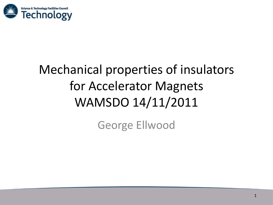

# Mechanical properties of insulators for Accelerator Magnets WAMSDO 14/11/2011

George Ellwood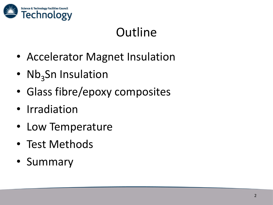

# Outline

- Accelerator Magnet Insulation
- Nb<sub>3</sub>Sn Insulation
- Glass fibre/epoxy composites
- Irradiation
- Low Temperature
- Test Methods
- Summary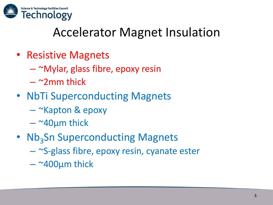

### Accelerator Magnet Insulation

- Resistive Magnets
	- ~Mylar, glass fibre, epoxy resin
	- $\sim$  2mm thick
- NbTi Superconducting Magnets
	- ~Kapton & epoxy
	- $-$  ~40 $\mu$ m thick
- Nb<sub>3</sub>Sn Superconducting Magnets
	- ~S-glass fibre, epoxy resin, cyanate ester
	- $-$  ~400 $\mu$ m thick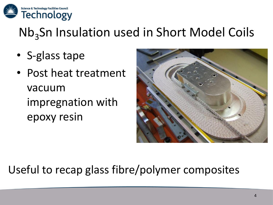

# Nb<sub>3</sub>Sn Insulation used in Short Model Coils

- S-glass tape
- Post heat treatment vacuum impregnation with epoxy resin



#### Useful to recap glass fibre/polymer composites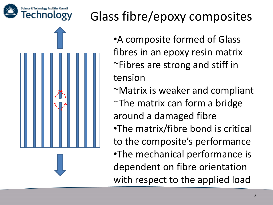



# Glass fibre/epoxy composites

•A composite formed of Glass fibres in an epoxy resin matrix ~Fibres are strong and stiff in tension ~Matrix is weaker and compliant ~The matrix can form a bridge around a damaged fibre •The matrix/fibre bond is critical to the composite's performance •The mechanical performance is dependent on fibre orientation with respect to the applied load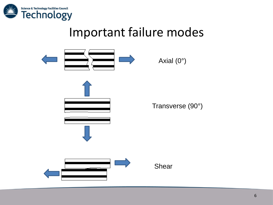

#### Important failure modes

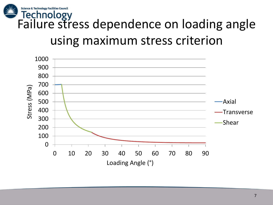

# using maximum stress criterion

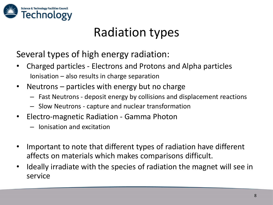

## Radiation types

Several types of high energy radiation:

- Charged particles Electrons and Protons and Alpha particles Ionisation – also results in charge separation
- Neutrons particles with energy but no charge
	- Fast Neutrons deposit energy by collisions and displacement reactions
	- Slow Neutrons capture and nuclear transformation
- Electro-magnetic Radiation Gamma Photon
	- Ionisation and excitation
- Important to note that different types of radiation have different affects on materials which makes comparisons difficult.
- Ideally irradiate with the species of radiation the magnet will see in service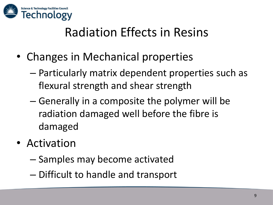

## Radiation Effects in Resins

- Changes in Mechanical properties
	- Particularly matrix dependent properties such as flexural strength and shear strength
	- Generally in a composite the polymer will be radiation damaged well before the fibre is damaged
- Activation
	- Samples may become activated
	- Difficult to handle and transport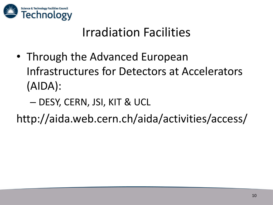

## Irradiation Facilities

- Through the Advanced European Infrastructures for Detectors at Accelerators (AIDA):
	- DESY, CERN, JSI, KIT & UCL

http://aida.web.cern.ch/aida/activities/access/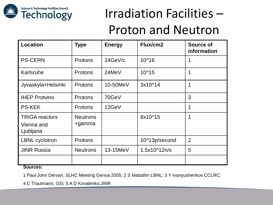

# Irradiation Facilities – Proton and Neutron

| <b>Location</b>                                  | <b>Type</b>               | <b>Energy</b> | Flux/cm2      | <b>Source of</b><br>information |
|--------------------------------------------------|---------------------------|---------------|---------------|---------------------------------|
| <b>PS-CERN</b>                                   | Protons                   | 24GeV/c       | $10^{46}$     | 1                               |
| Karlsruhe                                        | <b>Protons</b>            | 24MeV         | 10^15         | 1                               |
| Jyvaskyla+Helsinki                               | <b>Protons</b>            | 10-50MeV      | 3x10^14       | 1                               |
| <b>IHEP Protvino</b>                             | Protons                   | 70GeV         |               | 3                               |
| <b>PS-KEK</b>                                    | <b>Protons</b>            | 12GeV         |               | 1                               |
| <b>TRIGA</b> reactors<br>Vienna and<br>Ljubljana | <b>Neutrons</b><br>+gamma |               | 8x10^15       | 1                               |
| <b>LBNL</b> cyclotron                            | Protons                   |               | 10^13p/second | $\overline{2}$                  |
| <b>JINR Russia</b>                               | <b>Neutrons</b>           | 13-15MeV      | 1.5x10^12n/s  | 5                               |
| А.                                               |                           |               |               |                                 |

**Sources:**

1 Paul John Dervan, SLHC Meeting Genoa 2005; 2 S Mattafirri LBNL; 3 Y Ivanyushenkov CCLRC;

4 C Trautmann, GSi; 5 A D Kovalenko;JINR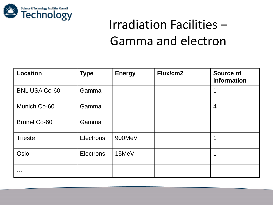

# Irradiation Facilities – Gamma and electron

| <b>Location</b>      | <b>Type</b>      | <b>Energy</b> | Flux/cm2 | <b>Source of</b><br>information |
|----------------------|------------------|---------------|----------|---------------------------------|
| <b>BNL USA Co-60</b> | Gamma            |               |          |                                 |
| Munich Co-60         | Gamma            |               |          | $\overline{4}$                  |
| <b>Brunel Co-60</b>  | Gamma            |               |          |                                 |
| <b>Trieste</b>       | <b>Electrons</b> | 900MeV        |          |                                 |
| Oslo                 | <b>Electrons</b> | 15MeV         |          | 1                               |
| $\sim$ $\sim$ $\sim$ |                  |               |          |                                 |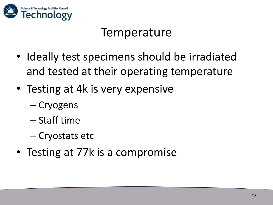

#### **Temperature**

- Ideally test specimens should be irradiated and tested at their operating temperature
- Testing at 4k is very expensive
	- Cryogens
	- Staff time
	- Cryostats etc
- Testing at 77k is a compromise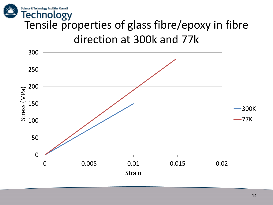

# Technology<br>Tensile properties of glass fibre/epoxy in fibre direction at 300k and 77k

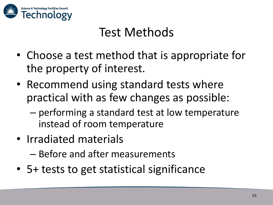

### Test Methods

- Choose a test method that is appropriate for the property of interest.
- Recommend using standard tests where practical with as few changes as possible:
	- performing a standard test at low temperature instead of room temperature
- Irradiated materials

– Before and after measurements

• 5+ tests to get statistical significance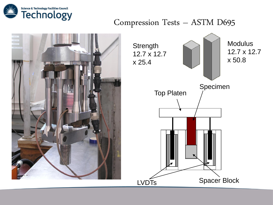

#### Compression Tests – ASTM D695



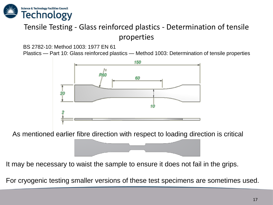

#### Tensile Testing - Glass reinforced plastics - Determination of tensile properties

BS 2782-10: Method 1003: 1977 EN 61

Plastics — Part 10: Glass reinforced plastics — Method 1003: Determination of tensile properties



As mentioned earlier fibre direction with respect to loading direction is critical

It may be necessary to waist the sample to ensure it does not fail in the grips.

For cryogenic testing smaller versions of these test specimens are sometimes used.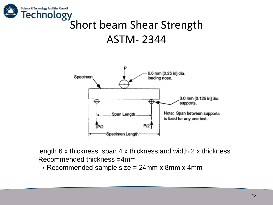

# Short beam Shear Strength ASTM- 2344



length 6 x thickness, span 4 x thickness and width 2 x thickness Recommended thickness =4mm

 $\rightarrow$  Recommended sample size = 24mm x 8mm x 4mm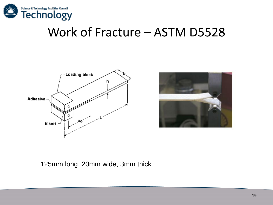

#### Work of Fracture – ASTM D5528





#### 125mm long, 20mm wide, 3mm thick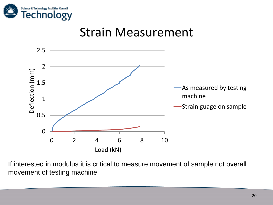

#### Strain Measurement



If interested in modulus it is critical to measure movement of sample not overall movement of testing machine